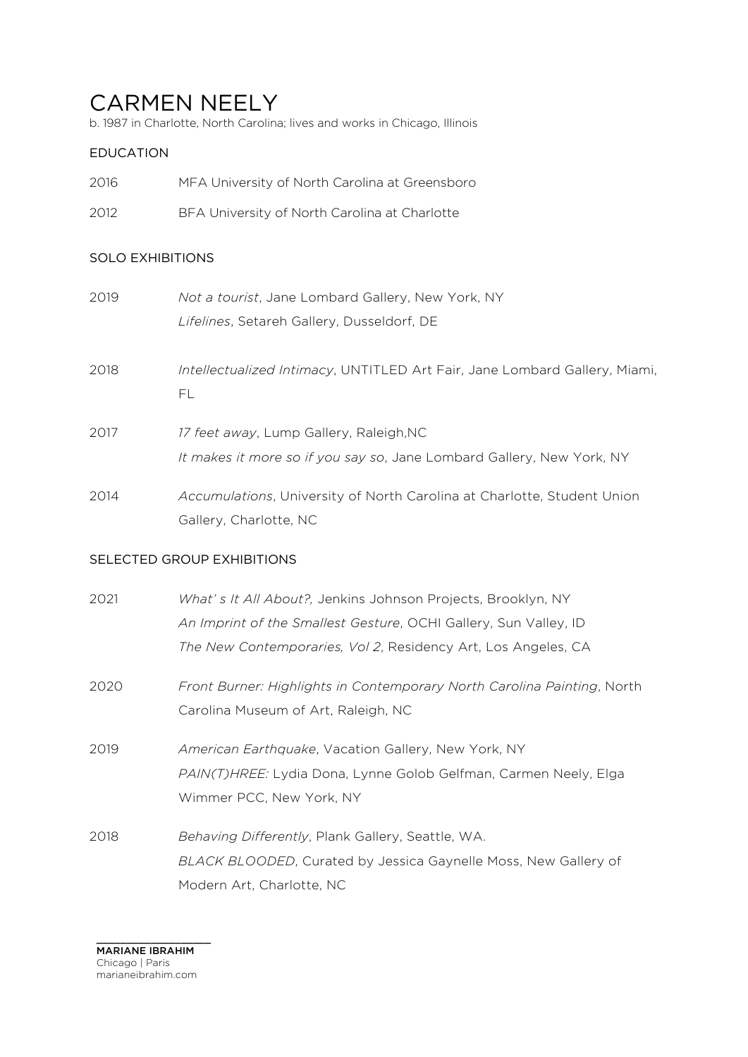# CARMEN NEELY

b. 1987 in Charlotte, North Carolina; lives and works in Chicago, Illinois

# EDUCATION

- 2016 MFA University of North Carolina at Greensboro
- 2012 BFA University of North Carolina at Charlotte

## SOLO EXHIBITIONS

| 2019 | Not a tourist, Jane Lombard Gallery, New York, NY                                                                |
|------|------------------------------------------------------------------------------------------------------------------|
|      | Lifelines, Setareh Gallery, Dusseldorf, DE                                                                       |
| 2018 | Intellectualized Intimacy, UNTITLED Art Fair, Jane Lombard Gallery, Miami,<br>FL                                 |
| 2017 | 17 feet away, Lump Gallery, Raleigh, NC<br>It makes it more so if you say so, Jane Lombard Gallery, New York, NY |
| 2014 | Accumulations, University of North Carolina at Charlotte, Student Union<br>Gallery, Charlotte, NC                |

#### SELECTED GROUP EXHIBITIONS

| 2021 | What's It All About?, Jenkins Johnson Projects, Brooklyn, NY            |
|------|-------------------------------------------------------------------------|
|      | An Imprint of the Smallest Gesture, OCHI Gallery, Sun Valley, ID        |
|      | The New Contemporaries, Vol 2, Residency Art, Los Angeles, CA           |
| 2020 | Front Burner: Highlights in Contemporary North Carolina Painting, North |
|      | Carolina Museum of Art, Raleigh, NC                                     |
| 2019 | American Earthquake, Vacation Gallery, New York, NY                     |
|      | PAIN(T)HREE: Lydia Dona, Lynne Golob Gelfman, Carmen Neely, Elga        |
|      | Wimmer PCC, New York, NY                                                |
| 2018 | Behaving Differently, Plank Gallery, Seattle, WA.                       |
|      | BLACK BLOODED, Curated by Jessica Gaynelle Moss, New Gallery of         |
|      | Modern Art, Charlotte, NC                                               |

\_\_\_\_\_\_\_\_\_\_\_\_\_\_\_\_\_\_\_ MARIANE IBRAHIM Chicago | Paris marianeibrahim.com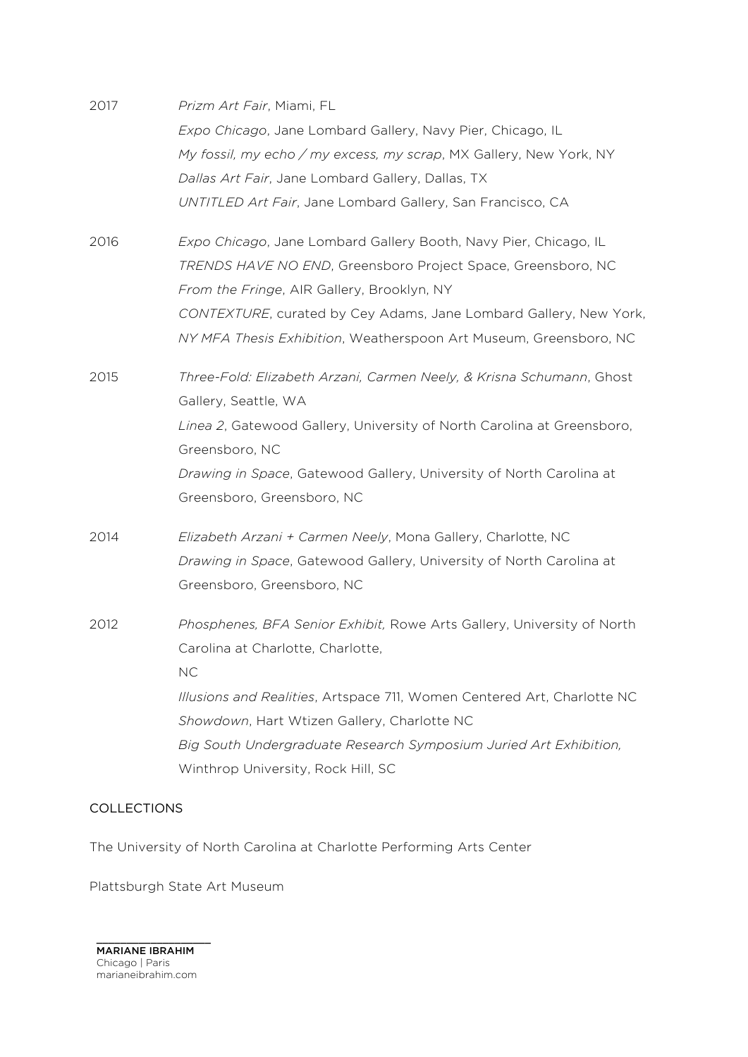| 2017 | Prizm Art Fair, Miami, FL                                               |
|------|-------------------------------------------------------------------------|
|      | Expo Chicago, Jane Lombard Gallery, Navy Pier, Chicago, IL              |
|      | My fossil, my echo / my excess, my scrap, MX Gallery, New York, NY      |
|      | Dallas Art Fair, Jane Lombard Gallery, Dallas, TX                       |
|      | UNTITLED Art Fair, Jane Lombard Gallery, San Francisco, CA              |
| 2016 | Expo Chicago, Jane Lombard Gallery Booth, Navy Pier, Chicago, IL        |
|      | TRENDS HAVE NO END, Greensboro Project Space, Greensboro, NC            |
|      | From the Fringe, AIR Gallery, Brooklyn, NY                              |
|      | CONTEXTURE, curated by Cey Adams, Jane Lombard Gallery, New York,       |
|      | NY MFA Thesis Exhibition, Weatherspoon Art Museum, Greensboro, NC       |
| 2015 | Three-Fold: Elizabeth Arzani, Carmen Neely, & Krisna Schumann, Ghost    |
|      | Gallery, Seattle, WA                                                    |
|      | Linea 2, Gatewood Gallery, University of North Carolina at Greensboro,  |
|      | Greensboro, NC                                                          |
|      | Drawing in Space, Gatewood Gallery, University of North Carolina at     |
|      | Greensboro, Greensboro, NC                                              |
| 2014 | Elizabeth Arzani + Carmen Neely, Mona Gallery, Charlotte, NC            |
|      | Drawing in Space, Gatewood Gallery, University of North Carolina at     |
|      | Greensboro, Greensboro, NC                                              |
| 2012 | Phosphenes, BFA Senior Exhibit, Rowe Arts Gallery, University of North  |
|      | Carolina at Charlotte, Charlotte,                                       |
|      | <b>NC</b>                                                               |
|      | Illusions and Realities, Artspace 711, Women Centered Art, Charlotte NC |
|      | Showdown, Hart Wtizen Gallery, Charlotte NC                             |
|      | Big South Undergraduate Research Symposium Juried Art Exhibition,       |
|      | Winthrop University, Rock Hill, SC                                      |
|      |                                                                         |

## COLLECTIONS

The University of North Carolina at Charlotte Performing Arts Center

Plattsburgh State Art Museum

\_\_\_\_\_\_\_\_\_\_\_\_\_\_\_\_\_\_\_ MARIANE IBRAHIM Chicago | Paris marianeibrahim.com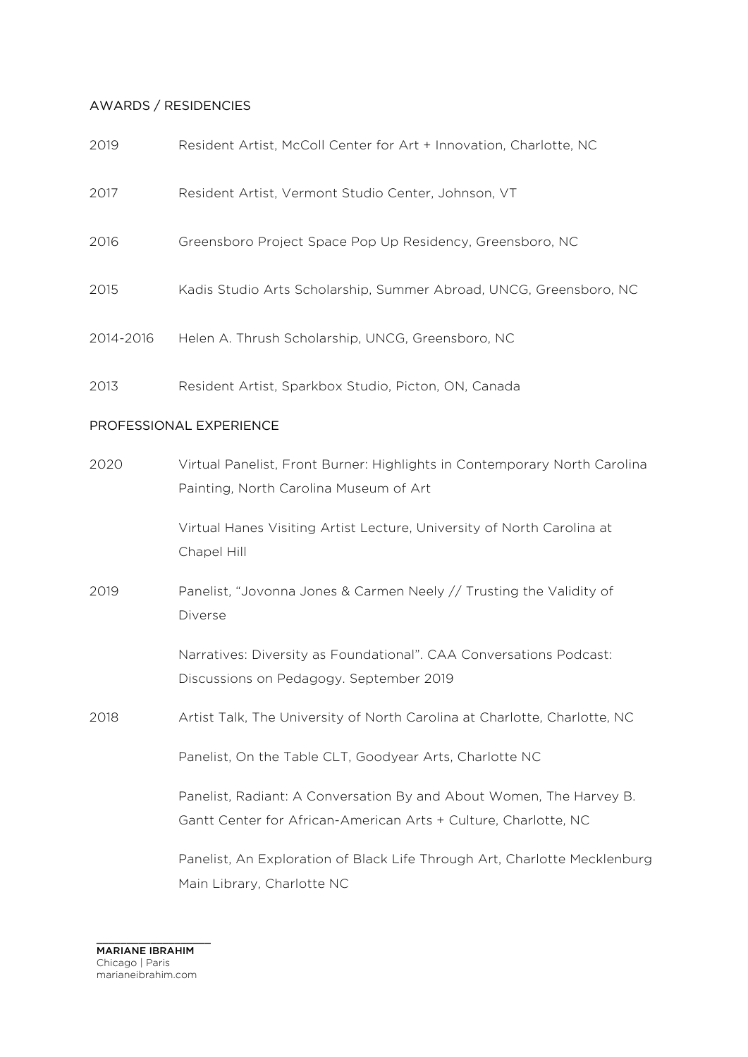#### AWARDS / RESIDENCIES

| 2019                    | Resident Artist, McColl Center for Art + Innovation, Charlotte, NC                                                  |  |
|-------------------------|---------------------------------------------------------------------------------------------------------------------|--|
| 2017                    | Resident Artist, Vermont Studio Center, Johnson, VT                                                                 |  |
| 2016                    | Greensboro Project Space Pop Up Residency, Greensboro, NC                                                           |  |
| 2015                    | Kadis Studio Arts Scholarship, Summer Abroad, UNCG, Greensboro, NC                                                  |  |
| 2014-2016               | Helen A. Thrush Scholarship, UNCG, Greensboro, NC                                                                   |  |
| 2013                    | Resident Artist, Sparkbox Studio, Picton, ON, Canada                                                                |  |
| PROFESSIONAL EXPERIENCE |                                                                                                                     |  |
| 2020                    | Virtual Panelist, Front Burner: Highlights in Contemporary North Carolina<br>Painting, North Carolina Museum of Art |  |
|                         | Virtual Hanes Visiting Artist Lecture, University of North Carolina at<br>Chapel Hill                               |  |
| 2019                    | Panelist, "Jovonna Jones & Carmen Neely // Trusting the Validity of<br>Diverse                                      |  |
|                         | Narratives: Diversity as Foundational". CAA Conversations Podcast:<br>Discussions on Pedagogy. September 2019       |  |

2018 Artist Talk, The University of North Carolina at Charlotte, Charlotte, NC

Panelist, On the Table CLT, Goodyear Arts, Charlotte NC

Panelist, Radiant: A Conversation By and About Women, The Harvey B. Gantt Center for African-American Arts + Culture, Charlotte, NC

Panelist, An Exploration of Black Life Through Art, Charlotte Mecklenburg Main Library, Charlotte NC